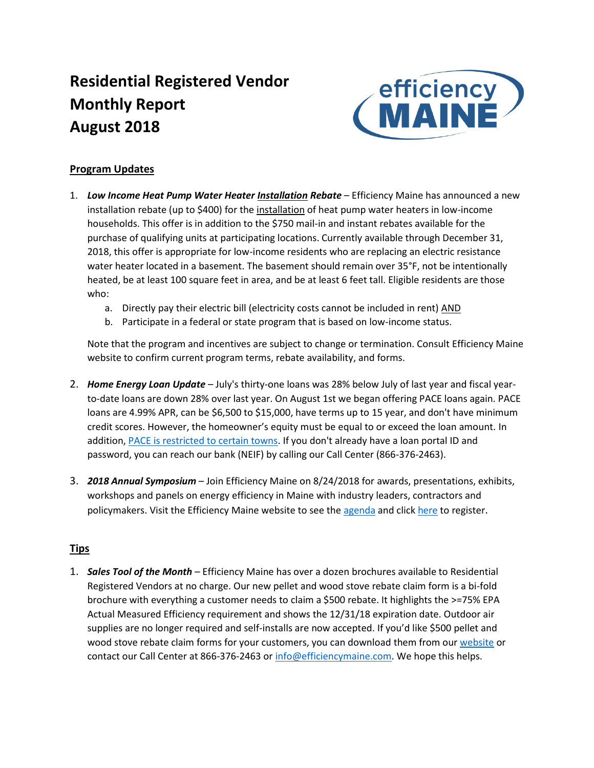# **Residential Registered Vendor Monthly Report August 2018**



### **Program Updates**

- 1. *Low Income Heat Pump Water Heater Installation Rebate* Efficiency Maine has announced a new installation rebate (up to \$400) for the installation of heat pump water heaters in low-income households. This offer is in addition to the \$750 mail-in and instant rebates available for the purchase of qualifying units at participating locations. Currently available through December 31, 2018, this offer is appropriate for low-income residents who are replacing an electric resistance water heater located in a basement. The basement should remain over 35°F, not be intentionally heated, be at least 100 square feet in area, and be at least 6 feet tall. Eligible residents are those who:
	- a. Directly pay their electric bill (electricity costs cannot be included in rent) AND
	- b. Participate in a federal or state program that is based on low-income status.

Note that the program and incentives are subject to change or termination. Consult Efficiency Maine website to confirm current program terms, rebate availability, and forms.

- 2. *Home Energy Loan Update* July's thirty-one loans was 28% below July of last year and fiscal yearto-date loans are down 28% over last year. On August 1st we began offering PACE loans again. PACE loans are 4.99% APR, can be \$6,500 to \$15,000, have terms up to 15 year, and don't have minimum credit scores. However, the homeowner's equity must be equal to or exceed the loan amount. In addition, [PACE is restricted to certain towns.](https://www.efficiencymaine.com/docs/List-of-PACE-municipalities1.pdf) If you don't already have a loan portal ID and password, you can reach our bank (NEIF) by calling our Call Center (866-376-2463).
- 3. *2018 Annual Symposium* Join Efficiency Maine on 8/24/2018 for awards, presentations, exhibits, workshops and panels on energy efficiency in Maine with industry leaders, contractors and policymakers. Visit the Efficiency Maine website to see the [agenda](https://www.efficiencymaine.com/2018-efficiency-maine-annual-symposium/) and clic[k here](https://www.eventbrite.com/e/2018-efficiency-maine-annual-symposium-tickets-46979898140) to register.

#### **Tips**

1. *Sales Tool of the Month* – Efficiency Maine has over a dozen brochures available to Residential Registered Vendors at no charge. Our new pellet and wood stove rebate claim form is a bi-fold brochure with everything a customer needs to claim a \$500 rebate. It highlights the >=75% EPA Actual Measured Efficiency requirement and shows the 12/31/18 expiration date. Outdoor air supplies are no longer required and self-installs are now accepted. If you'd like \$500 pellet and wood stove rebate claim forms for your customers, you can download them from our [website](https://www.efficiencymaine.com/docs/EM-Pellet-and-Wood-Stove-Rebate.pdf) or contact our Call Center at 866-376-2463 o[r info@efficiencymaine.com.](mailto:info@efficiencymaine.com) We hope this helps.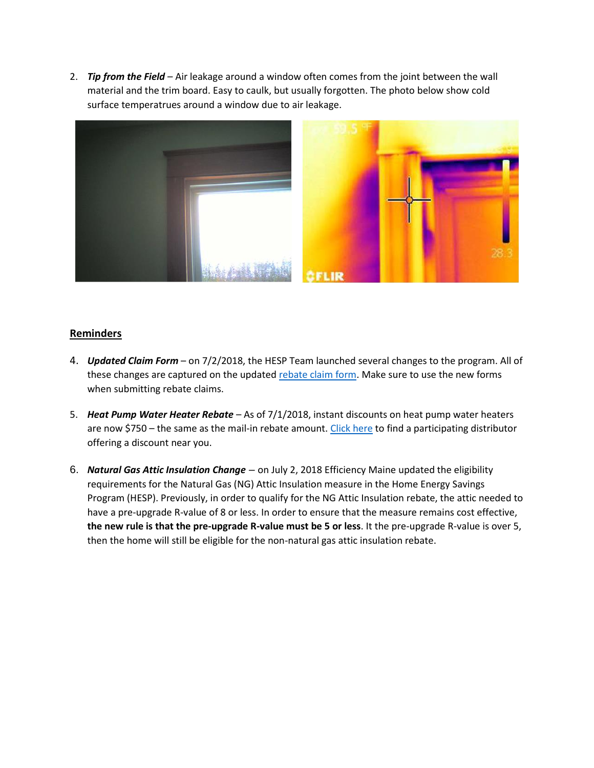2. *Tip from the Field* – Air leakage around a window often comes from the joint between the wall material and the trim board. Easy to caulk, but usually forgotten. The photo below show cold surface temperatrues around a window due to air leakage.



#### **Reminders**

- 4. *Updated Claim Form*  on 7/2/2018, the HESP Team launched several changes to the program. All of these changes are captured on the update[d rebate claim form.](https://www.efficiencymaine.com/docs/HESP-Completion-Form-Universal.pdf) Make sure to use the new forms when submitting rebate claims.
- 5. *Heat Pump Water Heater Rebate* As of 7/1/2018, instant discounts on heat pump water heaters are now \$750 – the same as the mail-in rebate amount[. Click here](https://www.efficiencymaine.com/docs/HPWH-Distributor-Locations.pdf) to find a participating distributor offering a discount near you.
- 6. *Natural Gas Attic Insulation Change* on July 2, 2018 Efficiency Maine updated the eligibility requirements for the Natural Gas (NG) Attic Insulation measure in the Home Energy Savings Program (HESP). Previously, in order to qualify for the NG Attic Insulation rebate, the attic needed to have a pre-upgrade R-value of 8 or less. In order to ensure that the measure remains cost effective, **the new rule is that the pre-upgrade R-value must be 5 or less**. It the pre-upgrade R-value is over 5, then the home will still be eligible for the non-natural gas attic insulation rebate.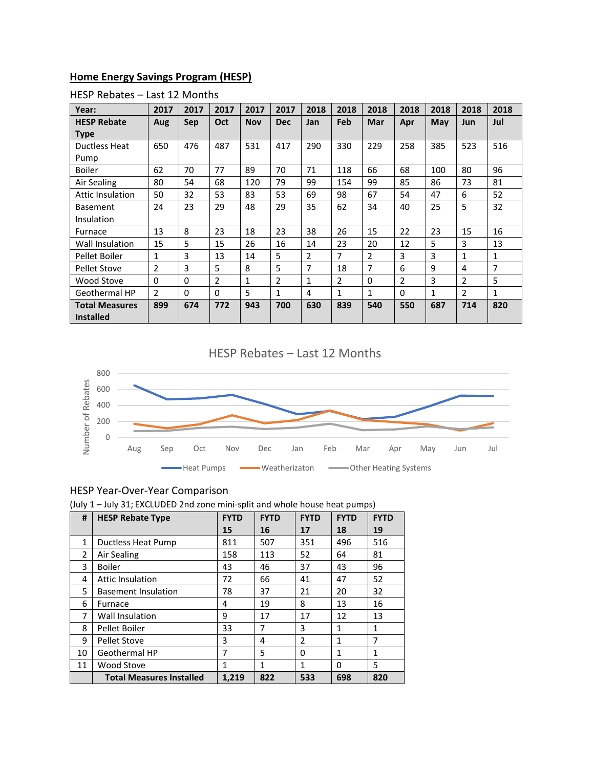# **Home Energy Savings Program (HESP)**

| Year:                 | 2017           | 2017     | 2017           | 2017       | 2017           | 2018           | 2018           | 2018           | 2018     | 2018 | 2018           | 2018 |
|-----------------------|----------------|----------|----------------|------------|----------------|----------------|----------------|----------------|----------|------|----------------|------|
| <b>HESP Rebate</b>    | Aug            | Sep      | Oct            | <b>Nov</b> | <b>Dec</b>     | Jan            | Feb            | Mar            | Apr      | May  | <b>Jun</b>     | Jul  |
| <b>Type</b>           |                |          |                |            |                |                |                |                |          |      |                |      |
| Ductless Heat         | 650            | 476      | 487            | 531        | 417            | 290            | 330            | 229            | 258      | 385  | 523            | 516  |
| Pump                  |                |          |                |            |                |                |                |                |          |      |                |      |
| Boiler                | 62             | 70       | 77             | 89         | 70             | 71             | 118            | 66             | 68       | 100  | 80             | 96   |
| Air Sealing           | 80             | 54       | 68             | 120        | 79             | 99             | 154            | 99             | 85       | 86   | 73             | 81   |
| Attic Insulation      | 50             | 32       | 53             | 83         | 53             | 69             | 98             | 67             | 54       | 47   | 6              | 52   |
| <b>Basement</b>       | 24             | 23       | 29             | 48         | 29             | 35             | 62             | 34             | 40       | 25   | 5              | 32   |
| Insulation            |                |          |                |            |                |                |                |                |          |      |                |      |
| Furnace               | 13             | 8        | 23             | 18         | 23             | 38             | 26             | 15             | 22       | 23   | 15             | 16   |
| Wall Insulation       | 15             | 5        | 15             | 26         | 16             | 14             | 23             | 20             | 12       | 5    | 3              | 13   |
| Pellet Boiler         | $\mathbf{1}$   | 3        | 13             | 14         | 5              | $\overline{2}$ | $\overline{7}$ | $\overline{2}$ | 3        | 3    | 1              | 1    |
| Pellet Stove          | $\overline{2}$ | 3        | 5              | 8          | 5              | 7              | 18             | $\overline{7}$ | 6        | 9    | 4              | 7    |
| Wood Stove            | 0              | $\Omega$ | $\overline{2}$ | 1          | $\overline{2}$ | 1              | 2              | $\Omega$       | 2        | 3    | $\overline{2}$ | 5    |
| Geothermal HP         | $\mathfrak{p}$ | $\Omega$ | $\mathbf{0}$   | 5          | 1              | 4              | 1              | 1              | $\Omega$ | 1    | $\mathcal{P}$  | 1    |
| <b>Total Measures</b> | 899            | 674      | 772            | 943        | 700            | 630            | 839            | 540            | 550      | 687  | 714            | 820  |
| <b>Installed</b>      |                |          |                |            |                |                |                |                |          |      |                |      |

#### HESP Rebates – Last 12 Months

#### HESP Rebates – Last 12 Months



## HESP Year-Over-Year Comparison

(July 1 – July 31; EXCLUDED 2nd zone mini-split and whole house heat pumps)

| #              | <b>HESP Rebate Type</b>         | <b>FYTD</b> | <b>FYTD</b> | <b>FYTD</b>    | <b>FYTD</b>  | <b>FYTD</b> |
|----------------|---------------------------------|-------------|-------------|----------------|--------------|-------------|
|                |                                 | 15          | 16          | 17             | 18           | 19          |
| 1              | Ductless Heat Pump              | 811         | 507         | 351            | 496          | 516         |
| $\overline{2}$ | Air Sealing                     | 158         | 113         | 52             | 64           | 81          |
| 3              | <b>Boiler</b>                   | 43          | 46          | 37             | 43           | 96          |
| 4              | <b>Attic Insulation</b>         | 72          | 66          | 41             | 47           | 52          |
| 5              | <b>Basement Insulation</b>      | 78          | 37          | 21             | 20           | 32          |
| 6              | Furnace                         | 4           | 19          | 8              | 13           | 16          |
| 7              | <b>Wall Insulation</b>          | 9           | 17          | 17             | 12           | 13          |
| 8              | Pellet Boiler                   | 33          | 7           | 3              | 1            | 1           |
| 9              | <b>Pellet Stove</b>             | 3           | 4           | $\overline{2}$ | $\mathbf{1}$ | 7           |
| 10             | Geothermal HP                   | 7           | 5           | 0              | $\mathbf{1}$ | 1           |
| 11             | Wood Stove                      | 1           | 1           | 1              | $\Omega$     | 5           |
|                | <b>Total Measures Installed</b> | 1,219       | 822         | 533            | 698          | 820         |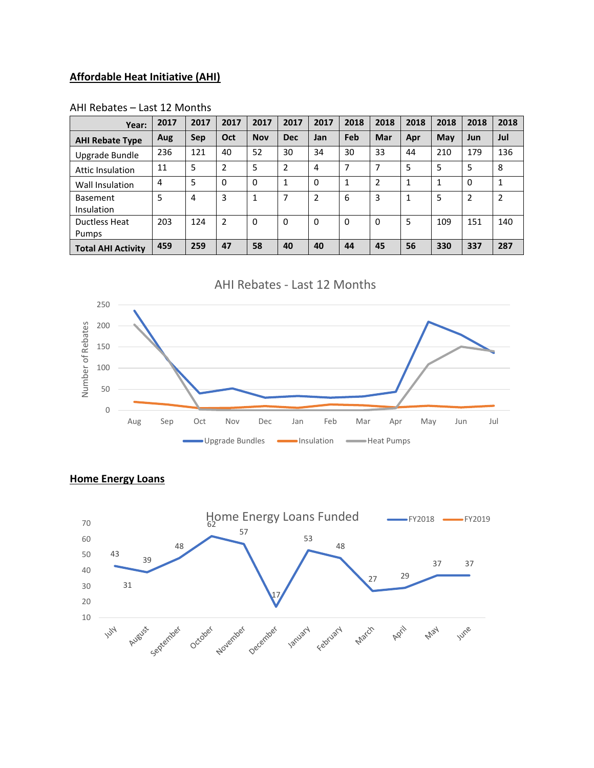## **Affordable Heat Initiative (AHI)**

#### AHI Rebates – Last 12 Months

| Year:                         | 2017 | 2017 | 2017           | 2017       | 2017          | 2017           | 2018 | 2018          | 2018 | 2018 | 2018     | 2018 |
|-------------------------------|------|------|----------------|------------|---------------|----------------|------|---------------|------|------|----------|------|
| <b>AHI Rebate Type</b>        | Aug  | Sep  | Oct            | <b>Nov</b> | <b>Dec</b>    | Jan            | Feb  | Mar           | Apr  | May  | Jun      | Jul  |
| Upgrade Bundle                | 236  | 121  | 40             | 52         | 30            | 34             | 30   | 33            | 44   | 210  | 179      | 136  |
| Attic Insulation              | 11   | 5    | $\overline{2}$ | 5          | $\mathfrak z$ | $\overline{4}$ | 7    | ⇁             | 5    | 5    | 5        | 8    |
| Wall Insulation               | 4    | 5    | $\Omega$       | 0          | 1             | $\Omega$       | 1    | $\mathfrak z$ |      | 1    | $\Omega$ | 1    |
| <b>Basement</b><br>Insulation | 5    | 4    | 3              | 1          | ⇁             | $\overline{2}$ | 6    | 3             | 1    | 5    | 2        | 2    |
| Ductless Heat<br>Pumps        | 203  | 124  | $\overline{2}$ | 0          | 0             | 0              | 0    | $\Omega$      | 5    | 109  | 151      | 140  |
| <b>Total AHI Activity</b>     | 459  | 259  | 47             | 58         | 40            | 40             | 44   | 45            | 56   | 330  | 337      | 287  |





# **Home Energy Loans**